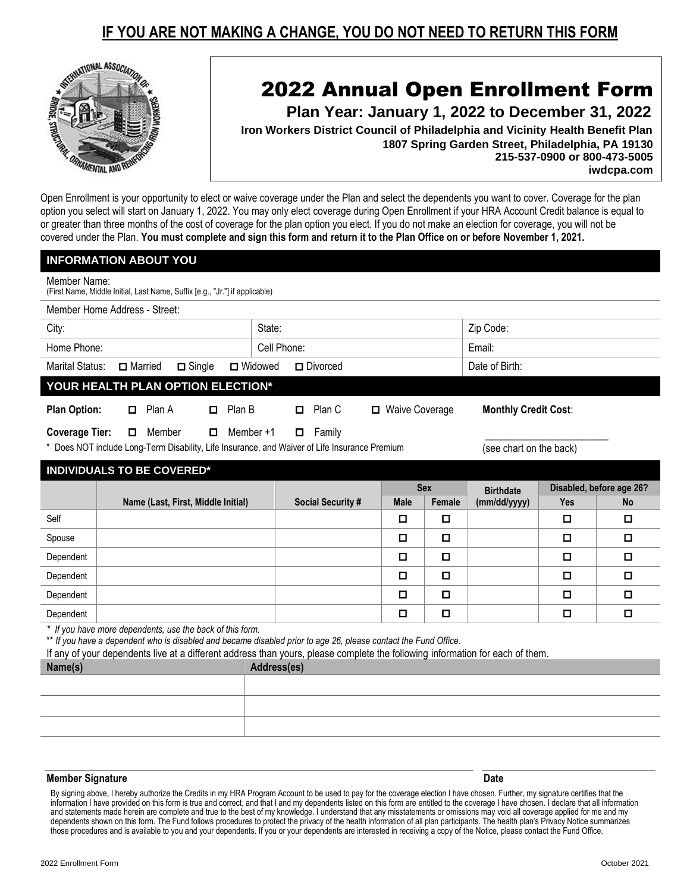## **IF YOU ARE NOT MAKING A CHANGE, YOU DO NOT NEED TO RETURN THIS FORM**



## 2022 Annual Open Enrollment Form

 **Plan Year: January 1, 2022 to December 31, 2022**

 **Iron Workers District Council of Philadelphia and Vicinity Health Benefit Plan 1807 Spring Garden Street, Philadelphia, PA 19130 215-537-0900 or 800-473-5005 iwdcpa.com**

Open Enrollment is your opportunity to elect or waive coverage under the Plan and select the dependents you want to cover. Coverage for the plan option you select will start on January 1, 2022. You may only elect coverage during Open Enrollment if your HRA Account Credit balance is equal to or greater than three months of the cost of coverage for the plan option you elect. If you do not make an election for coverage, you will not be covered under the Plan. **You must complete and sign this form and return it to the Plan Office on or before November 1, 2021.**

|                                                                                             | <b>INFORMATION ABOUT YOU</b>                                                                                                                                                 |                                                                      |                            |                          |  |             |                             |                  |                          |           |  |
|---------------------------------------------------------------------------------------------|------------------------------------------------------------------------------------------------------------------------------------------------------------------------------|----------------------------------------------------------------------|----------------------------|--------------------------|--|-------------|-----------------------------|------------------|--------------------------|-----------|--|
| Member Name:<br>(First Name, Middle Initial, Last Name, Suffix [e.g., "Jr."] if applicable) |                                                                                                                                                                              |                                                                      |                            |                          |  |             |                             |                  |                          |           |  |
|                                                                                             | Member Home Address - Street:                                                                                                                                                |                                                                      |                            |                          |  |             |                             |                  |                          |           |  |
| City:                                                                                       |                                                                                                                                                                              |                                                                      |                            |                          |  |             |                             | Zip Code:        |                          |           |  |
| Home Phone:                                                                                 |                                                                                                                                                                              |                                                                      | Cell Phone:                |                          |  |             |                             | Email:           |                          |           |  |
| <b>Marital Status:</b>                                                                      | $\Box$ Married                                                                                                                                                               | $\Box$ Single<br>$\Box$ Widowed<br>$\Box$ Divorced<br>Date of Birth: |                            |                          |  |             |                             |                  |                          |           |  |
|                                                                                             | YOUR HEALTH PLAN OPTION ELECTION*                                                                                                                                            |                                                                      |                            |                          |  |             |                             |                  |                          |           |  |
| <b>Plan Option:</b><br>Plan A<br>Plan B                                                     |                                                                                                                                                                              |                                                                      | Plan C<br>□ Waive Coverage |                          |  |             | <b>Monthly Credit Cost:</b> |                  |                          |           |  |
| Member $+1$<br><b>Coverage Tier:</b><br>Member<br>Family<br>0                               |                                                                                                                                                                              |                                                                      |                            |                          |  |             |                             |                  |                          |           |  |
|                                                                                             | * Does NOT include Long-Term Disability, Life Insurance, and Waiver of Life Insurance Premium<br>(see chart on the back)                                                     |                                                                      |                            |                          |  |             |                             |                  |                          |           |  |
|                                                                                             | <b>INDIVIDUALS TO BE COVERED*</b>                                                                                                                                            |                                                                      |                            |                          |  |             |                             |                  |                          |           |  |
|                                                                                             |                                                                                                                                                                              |                                                                      |                            |                          |  | <b>Sex</b>  |                             | <b>Birthdate</b> | Disabled, before age 26? |           |  |
|                                                                                             | Name (Last, First, Middle Initial)                                                                                                                                           |                                                                      |                            | <b>Social Security #</b> |  | <b>Male</b> | Female                      | (mm/dd/yyyy)     | Yes                      | <b>No</b> |  |
| Self                                                                                        |                                                                                                                                                                              |                                                                      |                            |                          |  | П           | $\Box$                      |                  | □                        | О         |  |
| Spouse                                                                                      |                                                                                                                                                                              |                                                                      |                            |                          |  | о           | 0                           |                  | П                        | 0         |  |
| Dependent                                                                                   |                                                                                                                                                                              |                                                                      |                            |                          |  | о           | $\Box$                      |                  | О                        | $\Box$    |  |
| Dependent                                                                                   |                                                                                                                                                                              |                                                                      |                            |                          |  | О           | $\Box$                      |                  | $\Box$                   | $\Box$    |  |
| Dependent                                                                                   |                                                                                                                                                                              |                                                                      |                            |                          |  | $\Box$      | $\Box$                      |                  | О                        | $\Box$    |  |
| Dependent                                                                                   |                                                                                                                                                                              |                                                                      |                            |                          |  | О           | О                           |                  | О                        | о         |  |
|                                                                                             | * If you have more dependents, use the back of this form.<br>** If you have a dependent who is disabled and became disabled prior to age 26, please contact the Fund Office. |                                                                      |                            |                          |  |             |                             |                  |                          |           |  |
|                                                                                             | If any of your dependents live at a different address than yours, please complete the following information for each of them.                                                |                                                                      |                            |                          |  |             |                             |                  |                          |           |  |
| Name(s)<br>Address(es)                                                                      |                                                                                                                                                                              |                                                                      |                            |                          |  |             |                             |                  |                          |           |  |
|                                                                                             |                                                                                                                                                                              |                                                                      |                            |                          |  |             |                             |                  |                          |           |  |
|                                                                                             |                                                                                                                                                                              |                                                                      |                            |                          |  |             |                             |                  |                          |           |  |

## **Member Signature Date**

By signing above, I hereby authorize the Credits in my HRA Program Account to be used to pay for the coverage election I have chosen. Further, my signature certifies that the information I have provided on this form is true and correct, and that I and my dependents listed on this form are entitled to the coverage I have chosen. I declare that all information and statements made herein are complete and true to the best of my knowledge. I understand that any misstatements or omissions may void all coverage applied for me and my dependents shown on this form. The Fund follows procedures to protect the privacy of the health information of all plan participants. The health plan's Privacy Notice summarizes those procedures and is available to you and your dependents. If you or your dependents are interested in receiving a copy of the Notice, please contact the Fund Office.